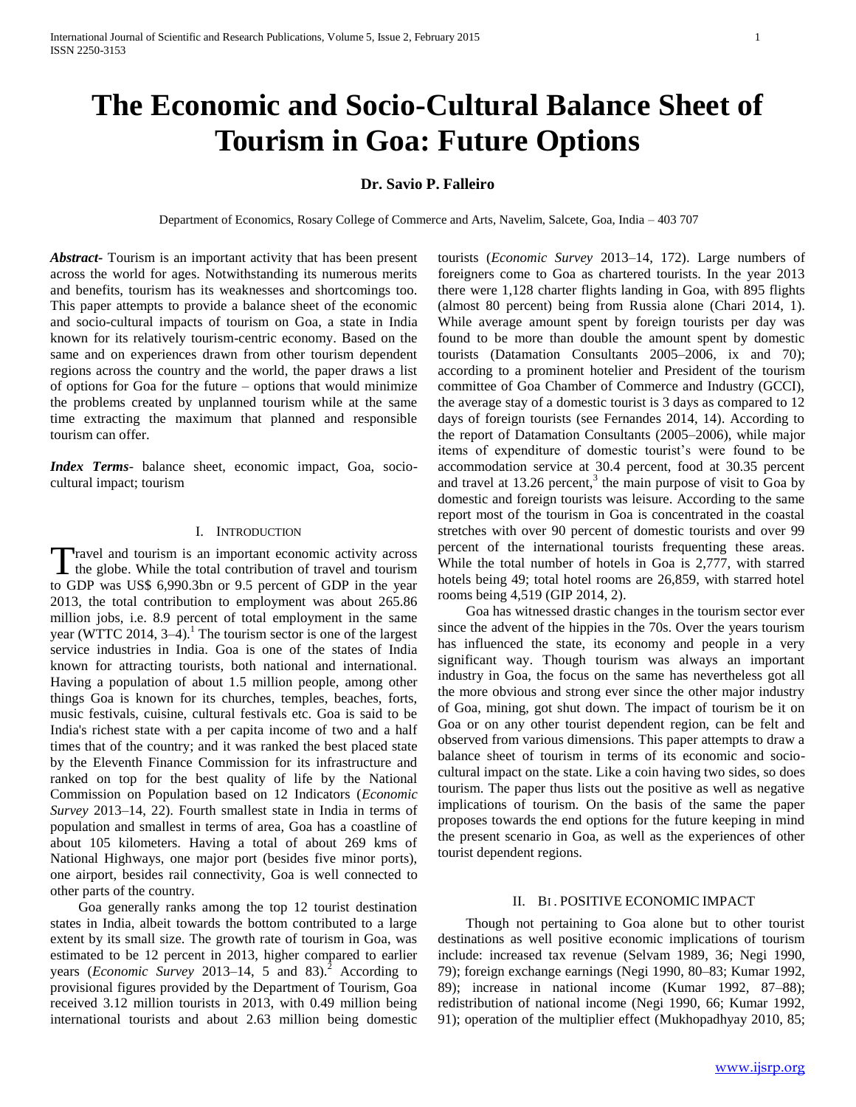# **The Economic and Socio-Cultural Balance Sheet of Tourism in Goa: Future Options**

## **Dr. Savio P. Falleiro**

Department of Economics, Rosary College of Commerce and Arts, Navelim, Salcete, Goa, India – 403 707

*Abstract***-** Tourism is an important activity that has been present across the world for ages. Notwithstanding its numerous merits and benefits, tourism has its weaknesses and shortcomings too. This paper attempts to provide a balance sheet of the economic and socio-cultural impacts of tourism on Goa, a state in India known for its relatively tourism-centric economy. Based on the same and on experiences drawn from other tourism dependent regions across the country and the world, the paper draws a list of options for Goa for the future – options that would minimize the problems created by unplanned tourism while at the same time extracting the maximum that planned and responsible tourism can offer.

*Index Terms*- balance sheet, economic impact, Goa, sociocultural impact; tourism

#### I. INTRODUCTION

Travel and tourism is an important economic activity across<br>the globe. While the total contribution of travel and tourism I the globe. While the total contribution of travel and tourism to GDP was US\$ 6,990.3bn or 9.5 percent of GDP in the year 2013, the total contribution to employment was about 265.86 million jobs, i.e. 8.9 percent of total employment in the same year (WTTC 2014,  $3-4$ ).<sup>1</sup> The tourism sector is one of the largest service industries in India. Goa is one of the states of India known for attracting tourists, both national and international. Having a population of about 1.5 million people, among other things Goa is known for its churches, temples, beaches, forts, music festivals, cuisine, cultural festivals etc. Goa is said to be India's richest state with a per capita income of two and a half times that of the country; and it was ranked the best placed state by the Eleventh Finance Commission for its infrastructure and ranked on top for the best quality of life by the National Commission on Population based on 12 Indicators (*Economic Survey* 2013–14, 22). Fourth smallest state in India in terms of population and smallest in terms of area, Goa has a coastline of about 105 kilometers. Having a total of about 269 kms of National Highways, one major port (besides five minor ports), one airport, besides rail connectivity, Goa is well connected to other parts of the country.

 Goa generally ranks among the top 12 tourist destination states in India, albeit towards the bottom contributed to a large extent by its small size. The growth rate of tourism in Goa, was estimated to be 12 percent in 2013, higher compared to earlier years (*Economic Survey* 2013–14, 5 and 83).<sup>2</sup> According to provisional figures provided by the Department of Tourism, Goa received 3.12 million tourists in 2013, with 0.49 million being international tourists and about 2.63 million being domestic

tourists (*Economic Survey* 2013–14, 172). Large numbers of foreigners come to Goa as chartered tourists. In the year 2013 there were 1,128 charter flights landing in Goa, with 895 flights (almost 80 percent) being from Russia alone (Chari 2014, 1). While average amount spent by foreign tourists per day was found to be more than double the amount spent by domestic tourists (Datamation Consultants 2005–2006, ix and 70); according to a prominent hotelier and President of the tourism committee of Goa Chamber of Commerce and Industry (GCCI), the average stay of a domestic tourist is 3 days as compared to 12 days of foreign tourists (see Fernandes 2014, 14). According to the report of Datamation Consultants (2005–2006), while major items of expenditure of domestic tourist's were found to be accommodation service at 30.4 percent, food at 30.35 percent and travel at 13.26 percent,<sup>3</sup> the main purpose of visit to Goa by domestic and foreign tourists was leisure. According to the same report most of the tourism in Goa is concentrated in the coastal stretches with over 90 percent of domestic tourists and over 99 percent of the international tourists frequenting these areas. While the total number of hotels in Goa is 2,777, with starred hotels being 49; total hotel rooms are 26,859, with starred hotel rooms being 4,519 (GIP 2014, 2).

 Goa has witnessed drastic changes in the tourism sector ever since the advent of the hippies in the 70s. Over the years tourism has influenced the state, its economy and people in a very significant way. Though tourism was always an important industry in Goa, the focus on the same has nevertheless got all the more obvious and strong ever since the other major industry of Goa, mining, got shut down. The impact of tourism be it on Goa or on any other tourist dependent region, can be felt and observed from various dimensions. This paper attempts to draw a balance sheet of tourism in terms of its economic and sociocultural impact on the state. Like a coin having two sides, so does tourism. The paper thus lists out the positive as well as negative implications of tourism. On the basis of the same the paper proposes towards the end options for the future keeping in mind the present scenario in Goa, as well as the experiences of other tourist dependent regions.

### II. BI . POSITIVE ECONOMIC IMPACT

 Though not pertaining to Goa alone but to other tourist destinations as well positive economic implications of tourism include: increased tax revenue (Selvam 1989, 36; Negi 1990, 79); foreign exchange earnings (Negi 1990, 80–83; Kumar 1992, 89); increase in national income (Kumar 1992, 87–88); redistribution of national income (Negi 1990, 66; Kumar 1992, 91); operation of the multiplier effect (Mukhopadhyay 2010, 85;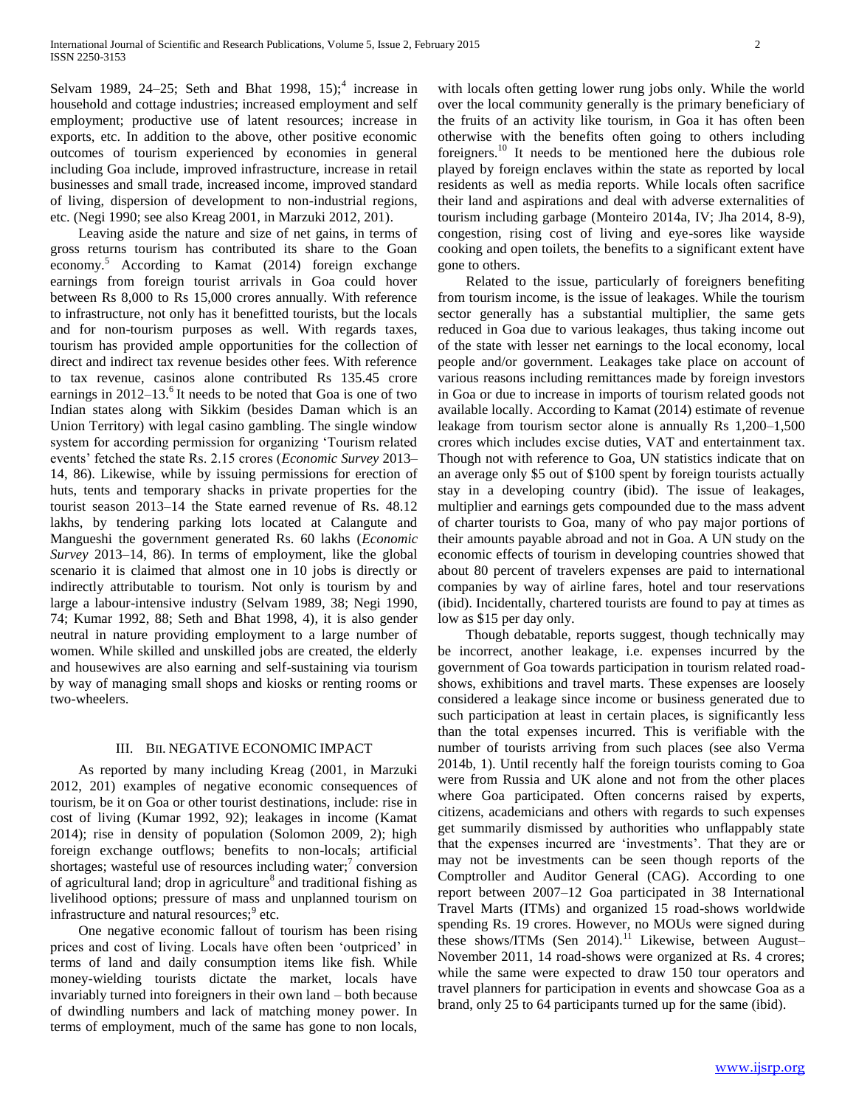Selvam 1989, 24–25; Seth and Bhat 1998, 15;<sup>4</sup> increase in household and cottage industries; increased employment and self employment; productive use of latent resources; increase in exports, etc. In addition to the above, other positive economic outcomes of tourism experienced by economies in general including Goa include, improved infrastructure, increase in retail businesses and small trade, increased income, improved standard of living, dispersion of development to non-industrial regions, etc. (Negi 1990; see also Kreag 2001, in Marzuki 2012, 201).

 Leaving aside the nature and size of net gains, in terms of gross returns tourism has contributed its share to the Goan economy.<sup>5</sup> According to Kamat (2014) foreign exchange earnings from foreign tourist arrivals in Goa could hover between Rs 8,000 to Rs 15,000 crores annually. With reference to infrastructure, not only has it benefitted tourists, but the locals and for non-tourism purposes as well. With regards taxes, tourism has provided ample opportunities for the collection of direct and indirect tax revenue besides other fees. With reference to tax revenue, casinos alone contributed Rs 135.45 crore earnings in  $2012-13$ .<sup>6</sup> It needs to be noted that Goa is one of two Indian states along with Sikkim (besides Daman which is an Union Territory) with legal casino gambling. The single window system for according permission for organizing 'Tourism related events' fetched the state Rs. 2.15 crores (*Economic Survey* 2013– 14, 86). Likewise, while by issuing permissions for erection of huts, tents and temporary shacks in private properties for the tourist season 2013–14 the State earned revenue of Rs. 48.12 lakhs, by tendering parking lots located at Calangute and Mangueshi the government generated Rs. 60 lakhs (*Economic Survey* 2013–14, 86). In terms of employment, like the global scenario it is claimed that almost one in 10 jobs is directly or indirectly attributable to tourism. Not only is tourism by and large a labour-intensive industry (Selvam 1989, 38; Negi 1990, 74; Kumar 1992, 88; Seth and Bhat 1998, 4), it is also gender neutral in nature providing employment to a large number of women. While skilled and unskilled jobs are created, the elderly and housewives are also earning and self-sustaining via tourism by way of managing small shops and kiosks or renting rooms or two-wheelers.

#### III. BII. NEGATIVE ECONOMIC IMPACT

 As reported by many including Kreag (2001, in Marzuki 2012, 201) examples of negative economic consequences of tourism, be it on Goa or other tourist destinations, include: rise in cost of living (Kumar 1992, 92); leakages in income (Kamat 2014); rise in density of population (Solomon 2009, 2); high foreign exchange outflows; benefits to non-locals; artificial shortages; wasteful use of resources including water;<sup>7</sup> conversion of agricultural land; drop in agriculture<sup>8</sup> and traditional fishing as livelihood options; pressure of mass and unplanned tourism on infrastructure and natural resources;<sup>9</sup> etc.

 One negative economic fallout of tourism has been rising prices and cost of living. Locals have often been 'outpriced' in terms of land and daily consumption items like fish. While money-wielding tourists dictate the market, locals have invariably turned into foreigners in their own land – both because of dwindling numbers and lack of matching money power. In terms of employment, much of the same has gone to non locals,

with locals often getting lower rung jobs only. While the world over the local community generally is the primary beneficiary of the fruits of an activity like tourism, in Goa it has often been otherwise with the benefits often going to others including foreigners.<sup>10</sup> It needs to be mentioned here the dubious role played by foreign enclaves within the state as reported by local residents as well as media reports. While locals often sacrifice their land and aspirations and deal with adverse externalities of tourism including garbage (Monteiro 2014a, IV; Jha 2014, 8-9), congestion, rising cost of living and eye-sores like wayside cooking and open toilets, the benefits to a significant extent have gone to others.

 Related to the issue, particularly of foreigners benefiting from tourism income, is the issue of leakages. While the tourism sector generally has a substantial multiplier, the same gets reduced in Goa due to various leakages, thus taking income out of the state with lesser net earnings to the local economy, local people and/or government. Leakages take place on account of various reasons including remittances made by foreign investors in Goa or due to increase in imports of tourism related goods not available locally. According to Kamat (2014) estimate of revenue leakage from tourism sector alone is annually Rs 1,200–1,500 crores which includes excise duties, VAT and entertainment tax. Though not with reference to Goa, UN statistics indicate that on an average only \$5 out of \$100 spent by foreign tourists actually stay in a developing country (ibid). The issue of leakages, multiplier and earnings gets compounded due to the mass advent of charter tourists to Goa, many of who pay major portions of their amounts payable abroad and not in Goa. A UN study on the economic effects of tourism in developing countries showed that about 80 percent of travelers expenses are paid to international companies by way of airline fares, hotel and tour reservations (ibid). Incidentally, chartered tourists are found to pay at times as low as \$15 per day only.

 Though debatable, reports suggest, though technically may be incorrect, another leakage, i.e. expenses incurred by the government of Goa towards participation in tourism related roadshows, exhibitions and travel marts. These expenses are loosely considered a leakage since income or business generated due to such participation at least in certain places, is significantly less than the total expenses incurred. This is verifiable with the number of tourists arriving from such places (see also Verma 2014b, 1). Until recently half the foreign tourists coming to Goa were from Russia and UK alone and not from the other places where Goa participated. Often concerns raised by experts, citizens, academicians and others with regards to such expenses get summarily dismissed by authorities who unflappably state that the expenses incurred are 'investments'. That they are or may not be investments can be seen though reports of the Comptroller and Auditor General (CAG). According to one report between 2007–12 Goa participated in 38 International Travel Marts (ITMs) and organized 15 road-shows worldwide spending Rs. 19 crores. However, no MOUs were signed during these shows/ITMs (Sen 2014).<sup>11</sup> Likewise, between August-November 2011, 14 road-shows were organized at Rs. 4 crores; while the same were expected to draw 150 tour operators and travel planners for participation in events and showcase Goa as a brand, only 25 to 64 participants turned up for the same (ibid).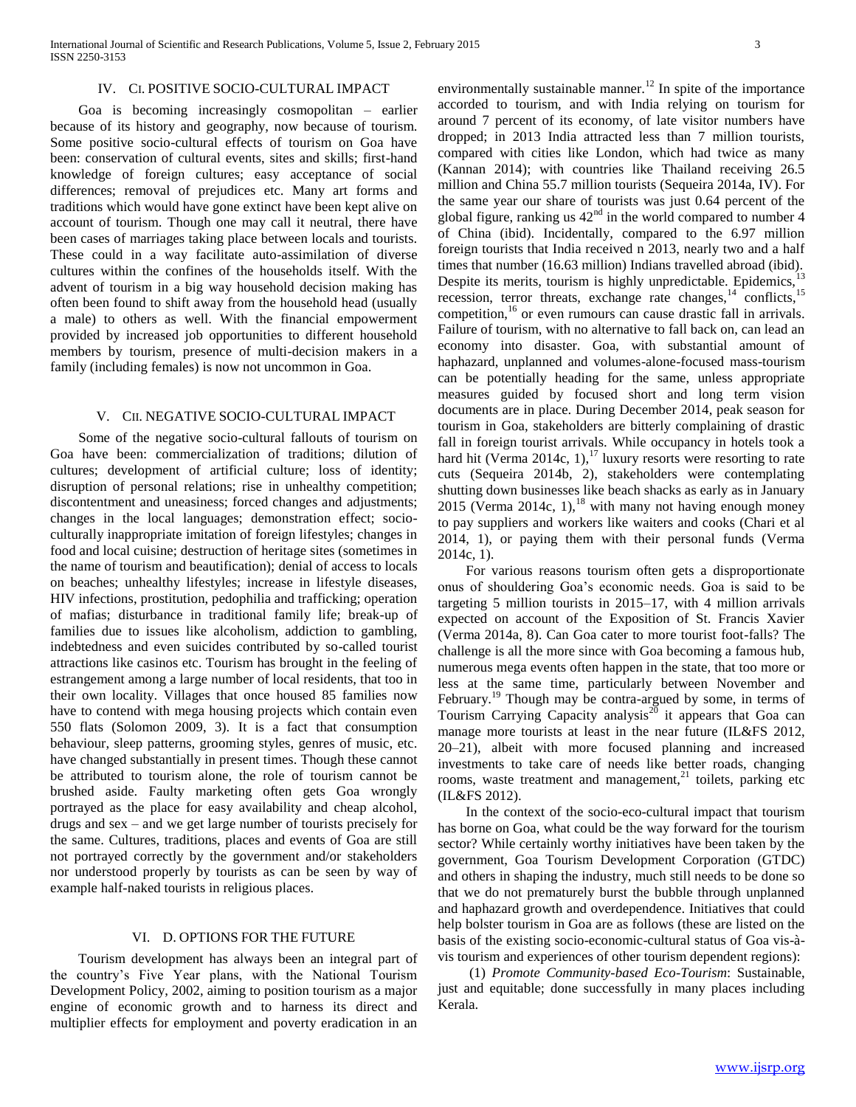#### IV. CI. POSITIVE SOCIO-CULTURAL IMPACT

 Goa is becoming increasingly cosmopolitan – earlier because of its history and geography, now because of tourism. Some positive socio-cultural effects of tourism on Goa have been: conservation of cultural events, sites and skills; first-hand knowledge of foreign cultures; easy acceptance of social differences; removal of prejudices etc. Many art forms and traditions which would have gone extinct have been kept alive on account of tourism. Though one may call it neutral, there have been cases of marriages taking place between locals and tourists. These could in a way facilitate auto-assimilation of diverse cultures within the confines of the households itself. With the advent of tourism in a big way household decision making has often been found to shift away from the household head (usually a male) to others as well. With the financial empowerment provided by increased job opportunities to different household members by tourism, presence of multi-decision makers in a family (including females) is now not uncommon in Goa.

#### V. CII. NEGATIVE SOCIO-CULTURAL IMPACT

 Some of the negative socio-cultural fallouts of tourism on Goa have been: commercialization of traditions; dilution of cultures; development of artificial culture; loss of identity; disruption of personal relations; rise in unhealthy competition; discontentment and uneasiness; forced changes and adjustments; changes in the local languages; demonstration effect; socioculturally inappropriate imitation of foreign lifestyles; changes in food and local cuisine; destruction of heritage sites (sometimes in the name of tourism and beautification); denial of access to locals on beaches; unhealthy lifestyles; increase in lifestyle diseases, HIV infections, prostitution, pedophilia and trafficking; operation of mafias; disturbance in traditional family life; break-up of families due to issues like alcoholism, addiction to gambling, indebtedness and even suicides contributed by so-called tourist attractions like casinos etc. Tourism has brought in the feeling of estrangement among a large number of local residents, that too in their own locality. Villages that once housed 85 families now have to contend with mega housing projects which contain even 550 flats (Solomon 2009, 3). It is a fact that consumption behaviour, sleep patterns, grooming styles, genres of music, etc. have changed substantially in present times. Though these cannot be attributed to tourism alone, the role of tourism cannot be brushed aside. Faulty marketing often gets Goa wrongly portrayed as the place for easy availability and cheap alcohol, drugs and sex – and we get large number of tourists precisely for the same. Cultures, traditions, places and events of Goa are still not portrayed correctly by the government and/or stakeholders nor understood properly by tourists as can be seen by way of example half-naked tourists in religious places.

#### VI. D. OPTIONS FOR THE FUTURE

 Tourism development has always been an integral part of the country's Five Year plans, with the National Tourism Development Policy, 2002, aiming to position tourism as a major engine of economic growth and to harness its direct and multiplier effects for employment and poverty eradication in an environmentally sustainable manner.<sup>12</sup> In spite of the importance accorded to tourism, and with India relying on tourism for around 7 percent of its economy, of late visitor numbers have dropped; in 2013 India attracted less than 7 million tourists, compared with cities like London, which had twice as many (Kannan 2014); with countries like Thailand receiving 26.5 million and China 55.7 million tourists (Sequeira 2014a, IV). For the same year our share of tourists was just 0.64 percent of the global figure, ranking us  $42<sup>nd</sup>$  in the world compared to number 4 of China (ibid). Incidentally, compared to the 6.97 million foreign tourists that India received n 2013, nearly two and a half times that number (16.63 million) Indians travelled abroad (ibid). Despite its merits, tourism is highly unpredictable. Epidemics,<sup>13</sup> recession, terror threats, exchange rate changes,<sup>14</sup> conflicts,<sup>15</sup> competition,<sup>16</sup> or even rumours can cause drastic fall in arrivals. Failure of tourism, with no alternative to fall back on, can lead an economy into disaster. Goa, with substantial amount of haphazard, unplanned and volumes-alone-focused mass-tourism can be potentially heading for the same, unless appropriate measures guided by focused short and long term vision documents are in place. During December 2014, peak season for tourism in Goa, stakeholders are bitterly complaining of drastic fall in foreign tourist arrivals. While occupancy in hotels took a hard hit (Verma 2014c,  $1$ ),<sup>17</sup> luxury resorts were resorting to rate cuts (Sequeira 2014b, 2), stakeholders were contemplating shutting down businesses like beach shacks as early as in January 2015 (Verma 2014c, 1), $^{18}$  with many not having enough money to pay suppliers and workers like waiters and cooks (Chari et al 2014, 1), or paying them with their personal funds (Verma 2014c, 1).

 For various reasons tourism often gets a disproportionate onus of shouldering Goa's economic needs. Goa is said to be targeting 5 million tourists in 2015–17, with 4 million arrivals expected on account of the Exposition of St. Francis Xavier (Verma 2014a, 8). Can Goa cater to more tourist foot-falls? The challenge is all the more since with Goa becoming a famous hub, numerous mega events often happen in the state, that too more or less at the same time, particularly between November and February.<sup>19</sup> Though may be contra-argued by some, in terms of Tourism Carrying Capacity analysis<sup>20</sup> it appears that Goa can manage more tourists at least in the near future (IL&FS 2012, 20–21), albeit with more focused planning and increased investments to take care of needs like better roads, changing rooms, waste treatment and management, $^{21}$  toilets, parking etc (IL&FS 2012).

 In the context of the socio-eco-cultural impact that tourism has borne on Goa, what could be the way forward for the tourism sector? While certainly worthy initiatives have been taken by the government, Goa Tourism Development Corporation (GTDC) and others in shaping the industry, much still needs to be done so that we do not prematurely burst the bubble through unplanned and haphazard growth and overdependence. Initiatives that could help bolster tourism in Goa are as follows (these are listed on the basis of the existing socio-economic-cultural status of Goa vis-àvis tourism and experiences of other tourism dependent regions):

 (1) *Promote Community-based Eco-Tourism*: Sustainable, just and equitable; done successfully in many places including Kerala.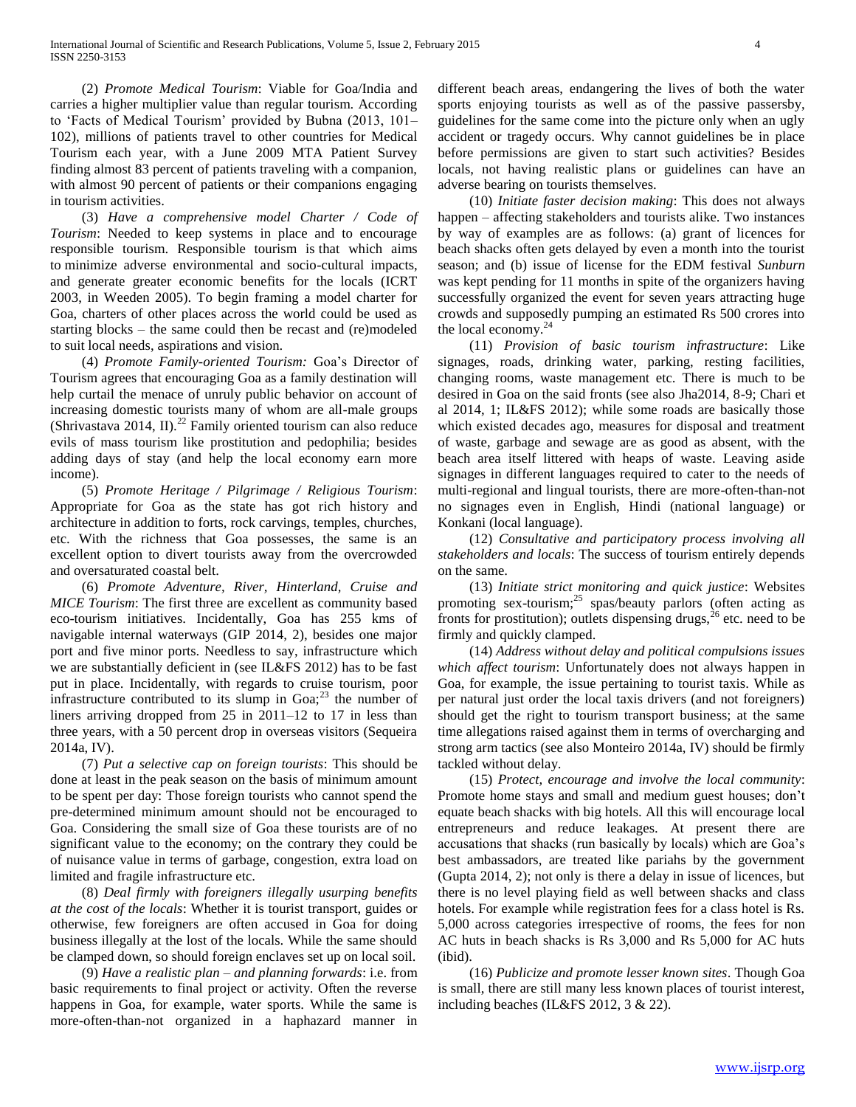(2) *Promote Medical Tourism*: Viable for Goa/India and carries a higher multiplier value than regular tourism. According to 'Facts of Medical Tourism' provided by Bubna (2013, 101– 102), millions of patients travel to other countries for Medical Tourism each year, with a June 2009 MTA Patient Survey finding almost 83 percent of patients traveling with a companion, with almost 90 percent of patients or their companions engaging in tourism activities.

 (3) *Have a comprehensive model Charter / Code of Tourism*: Needed to keep systems in place and to encourage responsible tourism. Responsible tourism is that which aims to minimize adverse environmental and socio-cultural impacts, and generate greater economic benefits for the locals (ICRT 2003, in Weeden 2005). To begin framing a model charter for Goa, charters of other places across the world could be used as starting blocks – the same could then be recast and (re)modeled to suit local needs, aspirations and vision.

 (4) *Promote Family-oriented Tourism:* Goa's Director of Tourism agrees that encouraging Goa as a family destination will help curtail the menace of unruly public behavior on account of increasing domestic tourists many of whom are all-male groups (Shrivastava 2014, II).<sup>22</sup> Family oriented tourism can also reduce evils of mass tourism like prostitution and pedophilia; besides adding days of stay (and help the local economy earn more income).

 (5) *Promote Heritage / Pilgrimage / Religious Tourism*: Appropriate for Goa as the state has got rich history and architecture in addition to forts, rock carvings, temples, churches, etc. With the richness that Goa possesses, the same is an excellent option to divert tourists away from the overcrowded and oversaturated coastal belt.

 (6) *Promote Adventure, River, Hinterland, Cruise and MICE Tourism*: The first three are excellent as community based eco-tourism initiatives. Incidentally, Goa has 255 kms of navigable internal waterways (GIP 2014, 2), besides one major port and five minor ports. Needless to say, infrastructure which we are substantially deficient in (see IL&FS 2012) has to be fast put in place. Incidentally, with regards to cruise tourism, poor infrastructure contributed to its slump in  $Goa;^{23}$  the number of liners arriving dropped from 25 in 2011–12 to 17 in less than three years, with a 50 percent drop in overseas visitors (Sequeira 2014a, IV).

 (7) *Put a selective cap on foreign tourists*: This should be done at least in the peak season on the basis of minimum amount to be spent per day: Those foreign tourists who cannot spend the pre-determined minimum amount should not be encouraged to Goa. Considering the small size of Goa these tourists are of no significant value to the economy; on the contrary they could be of nuisance value in terms of garbage, congestion, extra load on limited and fragile infrastructure etc.

 (8) *Deal firmly with foreigners illegally usurping benefits at the cost of the locals*: Whether it is tourist transport, guides or otherwise, few foreigners are often accused in Goa for doing business illegally at the lost of the locals. While the same should be clamped down, so should foreign enclaves set up on local soil.

 (9) *Have a realistic plan – and planning forwards*: i.e. from basic requirements to final project or activity. Often the reverse happens in Goa, for example, water sports. While the same is more-often-than-not organized in a haphazard manner in

different beach areas, endangering the lives of both the water sports enjoying tourists as well as of the passive passersby, guidelines for the same come into the picture only when an ugly accident or tragedy occurs. Why cannot guidelines be in place before permissions are given to start such activities? Besides locals, not having realistic plans or guidelines can have an adverse bearing on tourists themselves.

 (10) *Initiate faster decision making*: This does not always happen – affecting stakeholders and tourists alike. Two instances by way of examples are as follows: (a) grant of licences for beach shacks often gets delayed by even a month into the tourist season; and (b) issue of license for the EDM festival *Sunburn* was kept pending for 11 months in spite of the organizers having successfully organized the event for seven years attracting huge crowds and supposedly pumping an estimated Rs 500 crores into the local economy. $^{24}$ 

 (11) *Provision of basic tourism infrastructure*: Like signages, roads, drinking water, parking, resting facilities, changing rooms, waste management etc. There is much to be desired in Goa on the said fronts (see also Jha2014, 8-9; Chari et al 2014, 1; IL&FS 2012); while some roads are basically those which existed decades ago, measures for disposal and treatment of waste, garbage and sewage are as good as absent, with the beach area itself littered with heaps of waste. Leaving aside signages in different languages required to cater to the needs of multi-regional and lingual tourists, there are more-often-than-not no signages even in English, Hindi (national language) or Konkani (local language).

 (12) *Consultative and participatory process involving all stakeholders and locals*: The success of tourism entirely depends on the same.

 (13) *Initiate strict monitoring and quick justice*: Websites promoting sex-tourism;<sup>25</sup> spas/beauty parlors (often acting as fronts for prostitution); outlets dispensing drugs,  $^{26}$  etc. need to be firmly and quickly clamped.

 (14) *Address without delay and political compulsions issues which affect tourism*: Unfortunately does not always happen in Goa, for example, the issue pertaining to tourist taxis. While as per natural just order the local taxis drivers (and not foreigners) should get the right to tourism transport business; at the same time allegations raised against them in terms of overcharging and strong arm tactics (see also Monteiro 2014a, IV) should be firmly tackled without delay.

 (15) *Protect, encourage and involve the local community*: Promote home stays and small and medium guest houses; don't equate beach shacks with big hotels. All this will encourage local entrepreneurs and reduce leakages. At present there are accusations that shacks (run basically by locals) which are Goa's best ambassadors, are treated like pariahs by the government (Gupta 2014, 2); not only is there a delay in issue of licences, but there is no level playing field as well between shacks and class hotels. For example while registration fees for a class hotel is Rs. 5,000 across categories irrespective of rooms, the fees for non AC huts in beach shacks is Rs 3,000 and Rs 5,000 for AC huts (ibid).

 (16) *Publicize and promote lesser known sites*. Though Goa is small, there are still many less known places of tourist interest, including beaches (IL&FS 2012, 3 & 22).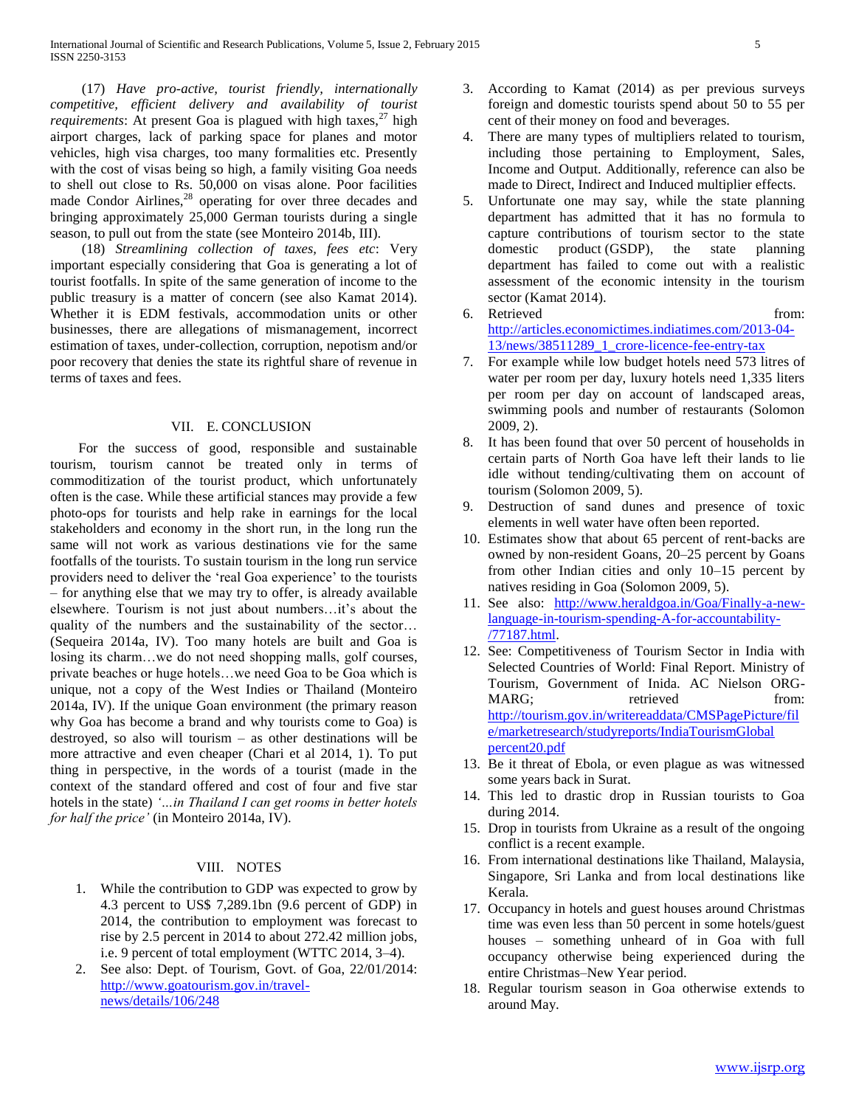(17) *Have pro-active, tourist friendly, internationally competitive, efficient delivery and availability of tourist requirements*: At present Goa is plagued with high taxes,  $27$  high airport charges, lack of parking space for planes and motor vehicles, high visa charges, too many formalities etc. Presently with the cost of visas being so high, a family visiting Goa needs to shell out close to Rs. 50,000 on visas alone. Poor facilities made Condor Airlines,<sup>28</sup> operating for over three decades and bringing approximately 25,000 German tourists during a single season, to pull out from the state (see Monteiro 2014b, III).

 (18) *Streamlining collection of taxes, fees etc*: Very important especially considering that Goa is generating a lot of tourist footfalls. In spite of the same generation of income to the public treasury is a matter of concern (see also Kamat 2014). Whether it is EDM festivals, accommodation units or other businesses, there are allegations of mismanagement, incorrect estimation of taxes, under-collection, corruption, nepotism and/or poor recovery that denies the state its rightful share of revenue in terms of taxes and fees.

#### VII. E. CONCLUSION

 For the success of good, responsible and sustainable tourism, tourism cannot be treated only in terms of commoditization of the tourist product, which unfortunately often is the case. While these artificial stances may provide a few photo-ops for tourists and help rake in earnings for the local stakeholders and economy in the short run, in the long run the same will not work as various destinations vie for the same footfalls of the tourists. To sustain tourism in the long run service providers need to deliver the 'real Goa experience' to the tourists – for anything else that we may try to offer, is already available elsewhere. Tourism is not just about numbers…it's about the quality of the numbers and the sustainability of the sector… (Sequeira 2014a, IV). Too many hotels are built and Goa is losing its charm…we do not need shopping malls, golf courses, private beaches or huge hotels…we need Goa to be Goa which is unique, not a copy of the West Indies or Thailand (Monteiro 2014a, IV). If the unique Goan environment (the primary reason why Goa has become a brand and why tourists come to Goa) is destroyed, so also will tourism – as other destinations will be more attractive and even cheaper (Chari et al 2014, 1). To put thing in perspective, in the words of a tourist (made in the context of the standard offered and cost of four and five star hotels in the state) *'…in Thailand I can get rooms in better hotels for half the price'* (in Monteiro 2014a, IV).

## VIII. NOTES

- 1. While the contribution to GDP was expected to grow by 4.3 percent to US\$ 7,289.1bn (9.6 percent of GDP) in 2014, the contribution to employment was forecast to rise by 2.5 percent in 2014 to about 272.42 million jobs, i.e. 9 percent of total employment (WTTC 2014, 3–4).
- 2. See also: Dept. of Tourism, Govt. of Goa, 22/01/2014: [http://www.goatourism.gov.in/travel](http://www.goatourism.gov.in/travel-news/details/106/248)[news/details/106/248](http://www.goatourism.gov.in/travel-news/details/106/248)
- 3. According to Kamat (2014) as per previous surveys foreign and domestic tourists spend about 50 to 55 per cent of their money on food and beverages.
- 4. There are many types of multipliers related to tourism, including those pertaining to Employment, Sales, Income and Output. Additionally, reference can also be made to Direct, Indirect and Induced multiplier effects.
- 5. Unfortunate one may say, while the state planning department has admitted that it has no formula to capture contributions of tourism sector to the state domestic product (GSDP), the state planning department has failed to come out with a realistic assessment of the economic intensity in the tourism sector (Kamat 2014).
- 6. Retrieved from: [http://articles.economictimes.indiatimes.com/2013-04-](http://articles.economictimes.indiatimes.com/2013-04-13/news/38511289_1_crore-licence-fee-entry-tax) [13/news/38511289\\_1\\_crore-licence-fee-entry-tax](http://articles.economictimes.indiatimes.com/2013-04-13/news/38511289_1_crore-licence-fee-entry-tax)
- 7. For example while low budget hotels need 573 litres of water per room per day, luxury hotels need 1,335 liters per room per day on account of landscaped areas, swimming pools and number of restaurants (Solomon 2009, 2).
- 8. It has been found that over 50 percent of households in certain parts of North Goa have left their lands to lie idle without tending/cultivating them on account of tourism (Solomon 2009, 5).
- 9. Destruction of sand dunes and presence of toxic elements in well water have often been reported.
- 10. Estimates show that about 65 percent of rent-backs are owned by non-resident Goans, 20–25 percent by Goans from other Indian cities and only 10–15 percent by natives residing in Goa (Solomon 2009, 5).
- 11. See also: [http://www.heraldgoa.in/Goa/Finally-a-new](http://www.heraldgoa.in/Goa/Finally-a-new-language-in-tourism-spending-A-for-accountability-/77187.html)[language-in-tourism-spending-A-for-accountability-](http://www.heraldgoa.in/Goa/Finally-a-new-language-in-tourism-spending-A-for-accountability-/77187.html) [/77187.html.](http://www.heraldgoa.in/Goa/Finally-a-new-language-in-tourism-spending-A-for-accountability-/77187.html)
- 12. See: Competitiveness of Tourism Sector in India with Selected Countries of World: Final Report. Ministry of Tourism, Government of Inida. AC Nielson ORG-MARG; retrieved from: [http://tourism.gov.in/writereaddata/CMSPagePicture/fil](http://tourism.gov.in/writereaddata/CMSPagePicture/file/marketresearch/studyreports/IndiaTourismGlobal%20percent20.pdf) [e/marketresearch/studyreports/IndiaTourismGlobal](http://tourism.gov.in/writereaddata/CMSPagePicture/file/marketresearch/studyreports/IndiaTourismGlobal%20percent20.pdf)  [percent20.pdf](http://tourism.gov.in/writereaddata/CMSPagePicture/file/marketresearch/studyreports/IndiaTourismGlobal%20percent20.pdf)
- 13. Be it threat of Ebola, or even plague as was witnessed some years back in Surat.
- 14. This led to drastic drop in Russian tourists to Goa during 2014.
- 15. Drop in tourists from Ukraine as a result of the ongoing conflict is a recent example.
- 16. From international destinations like Thailand, Malaysia, Singapore, Sri Lanka and from local destinations like Kerala.
- 17. Occupancy in hotels and guest houses around Christmas time was even less than 50 percent in some hotels/guest houses – something unheard of in Goa with full occupancy otherwise being experienced during the entire Christmas–New Year period.
- 18. Regular tourism season in Goa otherwise extends to around May.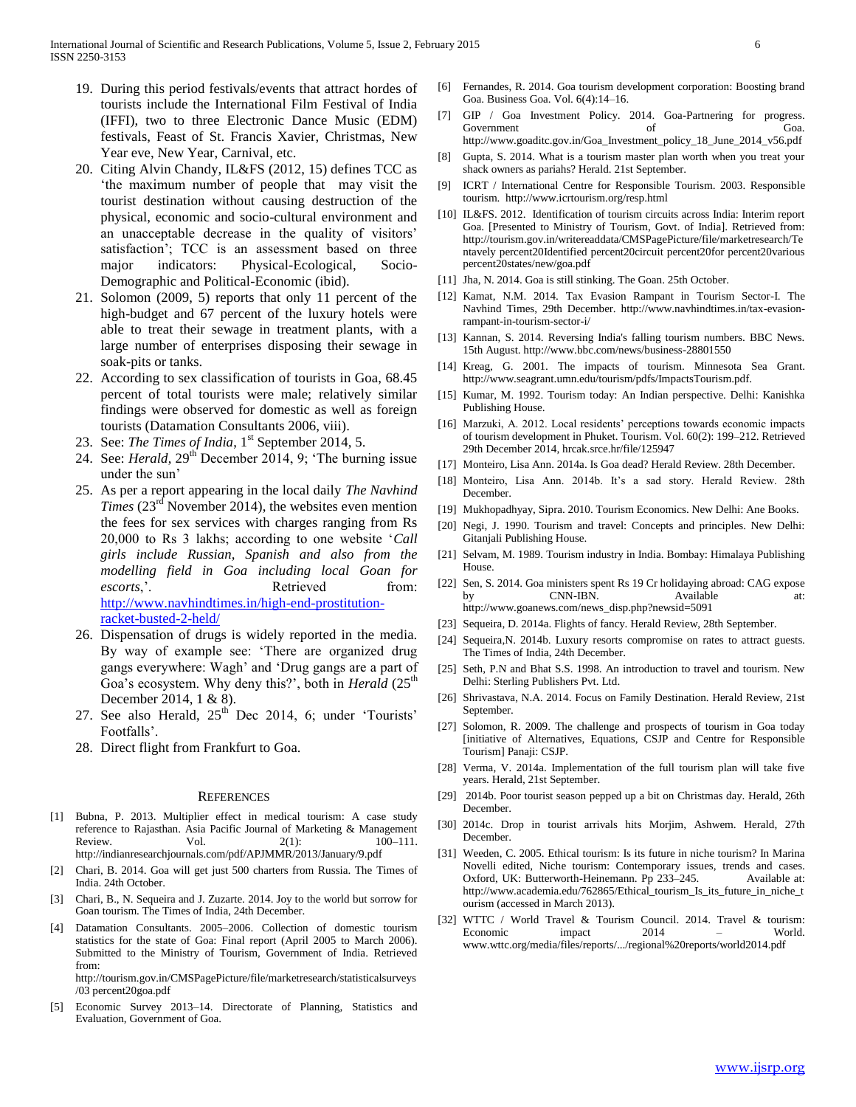- 19. During this period festivals/events that attract hordes of tourists include the International Film Festival of India (IFFI), two to three Electronic Dance Music (EDM) festivals, Feast of St. Francis Xavier, Christmas, New Year eve, New Year, Carnival, etc.
- 20. Citing Alvin Chandy, IL&FS (2012, 15) defines TCC as 'the maximum number of people that may visit the tourist destination without causing destruction of the physical, economic and socio-cultural environment and an unacceptable decrease in the quality of visitors' satisfaction'; TCC is an assessment based on three major indicators: Physical-Ecological, Socio-Demographic and Political-Economic (ibid).
- 21. Solomon (2009, 5) reports that only 11 percent of the high-budget and 67 percent of the luxury hotels were able to treat their sewage in treatment plants, with a large number of enterprises disposing their sewage in soak-pits or tanks.
- 22. According to sex classification of tourists in Goa, 68.45 percent of total tourists were male; relatively similar findings were observed for domestic as well as foreign tourists (Datamation Consultants 2006, viii).
- 23. See: *The Times of India*, 1<sup>st</sup> September 2014, 5.
- 24. See: *Herald*, 29<sup>th</sup> December 2014, 9; 'The burning issue under the sun'
- 25. As per a report appearing in the local daily *The Navhind Times* (23<sup>rd</sup> November 2014), the websites even mention the fees for sex services with charges ranging from Rs 20,000 to Rs 3 lakhs; according to one website '*Call girls include Russian, Spanish and also from the modelling field in Goa including local Goan for escorts*,'. Retrieved from: [http://www.navhindtimes.in/high-end-prostitution](http://www.navhindtimes.in/high-end-prostitution-racket-busted-2-held/)[racket-busted-2-held/](http://www.navhindtimes.in/high-end-prostitution-racket-busted-2-held/)
- 26. Dispensation of drugs is widely reported in the media. By way of example see: 'There are organized drug gangs everywhere: Wagh' and 'Drug gangs are a part of Goa's ecosystem. Why deny this?', both in *Herald* (25<sup>th</sup>) December 2014, 1 & 8).
- 27. See also Herald,  $25<sup>th</sup>$  Dec 2014, 6; under 'Tourists' Footfalls'.
- 28. Direct flight from Frankfurt to Goa.

#### **REFERENCES**

- [1] Bubna, P. 2013. Multiplier effect in medical tourism: A case study reference to Rajasthan. Asia Pacific Journal of Marketing & Management Review.  $Vol.$  Vol.  $2(1):$   $100-111.$ http://indianresearchjournals.com/pdf/APJMMR/2013/January/9.pdf
- [2] Chari, B. 2014. Goa will get just 500 charters from Russia. The Times of India. 24th October.
- [3] Chari, B., N. Sequeira and J. Zuzarte. 2014. Joy to the world but sorrow for Goan tourism. The Times of India, 24th December.
- [4] Datamation Consultants. 2005–2006. Collection of domestic tourism statistics for the state of Goa: Final report (April 2005 to March 2006). Submitted to the Ministry of Tourism, Government of India. Retrieved from:

http://tourism.gov.in/CMSPagePicture/file/marketresearch/statisticalsurveys /03 percent20goa.pdf

[5] Economic Survey 2013–14. Directorate of Planning, Statistics and Evaluation, Government of Goa.

- [6] Fernandes, R. 2014. Goa tourism development corporation: Boosting brand Goa. Business Goa. Vol. 6(4):14–16.
- [7] GIP / Goa Investment Policy. 2014. Goa-Partnering for progress. Government of Goa. http://www.goaditc.gov.in/Goa\_Investment\_policy\_18\_June\_2014\_v56.pdf
- [8] Gupta, S. 2014. What is a tourism master plan worth when you treat your shack owners as pariahs? Herald. 21st September.
- [9] ICRT / International Centre for Responsible Tourism. 2003. Responsible tourism. http://www.icrtourism.org/resp.html
- [10] IL&FS. 2012. Identification of tourism circuits across India: Interim report Goa. [Presented to Ministry of Tourism, Govt. of India]. Retrieved from: http://tourism.gov.in/writereaddata/CMSPagePicture/file/marketresearch/Te ntavely percent20Identified percent20circuit percent20for percent20various percent20states/new/goa.pdf
- [11] Jha, N. 2014. Goa is still stinking. The Goan. 25th October.
- [12] Kamat, N.M. 2014. Tax Evasion Rampant in Tourism Sector-I. The Navhind Times, 29th December. http://www.navhindtimes.in/tax-evasionrampant-in-tourism-sector-i/
- [13] Kannan, S. 2014. Reversing India's falling tourism numbers. BBC News. 15th August. http://www.bbc.com/news/business-28801550
- [14] Kreag, G. 2001. The impacts of tourism. Minnesota Sea Grant. http://www.seagrant.umn.edu/tourism/pdfs/ImpactsTourism.pdf.
- [15] Kumar, M. 1992. Tourism today: An Indian perspective. Delhi: Kanishka Publishing House.
- [16] Marzuki, A. 2012. Local residents' perceptions towards economic impacts of tourism development in Phuket. Tourism. Vol. 60(2): 199–212. Retrieved 29th December 2014, hrcak.srce.hr/file/125947
- [17] Monteiro, Lisa Ann. 2014a. Is Goa dead? Herald Review. 28th December.
- [18] Monteiro, Lisa Ann. 2014b. It's a sad story. Herald Review. 28th December.
- [19] Mukhopadhyay, Sipra. 2010. Tourism Economics. New Delhi: Ane Books.
- [20] Negi, J. 1990. Tourism and travel: Concepts and principles. New Delhi: Gitanjali Publishing House.
- [21] Selvam, M. 1989. Tourism industry in India. Bombay: Himalaya Publishing House.
- [22] Sen, S. 2014. Goa ministers spent Rs 19 Cr holidaying abroad: CAG expose by CNN-IBN. Available at: http://www.goanews.com/news\_disp.php?newsid=5091
- [23] Sequeira, D. 2014a. Flights of fancy. Herald Review, 28th September.
- [24] Sequeira, N. 2014b. Luxury resorts compromise on rates to attract guests. The Times of India, 24th December.
- [25] Seth, P.N and Bhat S.S. 1998. An introduction to travel and tourism. New Delhi: Sterling Publishers Pvt. Ltd.
- [26] Shrivastava, N.A. 2014. Focus on Family Destination. Herald Review, 21st September.
- [27] Solomon, R. 2009. The challenge and prospects of tourism in Goa today [initiative of Alternatives, Equations, CSJP and Centre for Responsible Tourism] Panaji: CSJP.
- [28] Verma, V. 2014a. Implementation of the full tourism plan will take five years. Herald, 21st September.
- [29] 2014b. Poor tourist season pepped up a bit on Christmas day. Herald, 26th December.
- [30] 2014c. Drop in tourist arrivals hits Morjim, Ashwem. Herald, 27th December.
- [31] Weeden, C. 2005. Ethical tourism: Is its future in niche tourism? In Marina Novelli edited, Niche tourism: Contemporary issues, trends and cases. Oxford, UK: Butterworth-Heinemann. Pp 233–245. Available at: http://www.academia.edu/762865/Ethical\_tourism\_Is\_its\_future\_in\_niche\_t ourism (accessed in March 2013).
- [32] WTTC / World Travel & Tourism Council. 2014. Travel & tourism: Economic impact 2014 – World. www.wttc.org/media/files/reports/.../regional%20reports/world2014.pdf